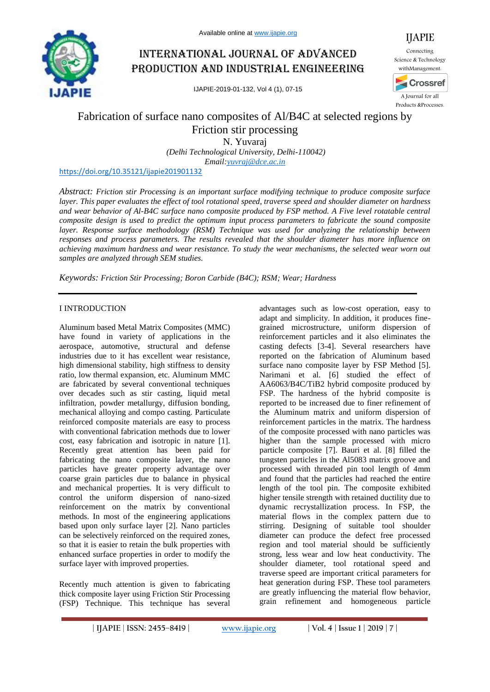

# International journal of advanced production and industrial engineering

IJAPIE-2019-01-132, Vol 4 (1), 07-15



IJAPIE

# Fabrication of surface nano composites of Al/B4C at selected regions by Friction stir processing

N. Yuvaraj

*(Delhi Technological University, Delhi-110042) Email:yuvraj@dce.ac.in*

### https://doi.org/10.35121/ijapie201901132

*Abstract: Friction stir Processing is an important surface modifying technique to produce composite surface layer. This paper evaluates the effect of tool rotational speed, traverse speed and shoulder diameter on hardness and wear behavior of Al-B4C surface nano composite produced by FSP method. A Five level rotatable central composite design is used to predict the optimum input process parameters to fabricate the sound composite layer. Response surface methodology (RSM) Technique was used for analyzing the relationship between responses and process parameters. The results revealed that the shoulder diameter has more influence on achieving maximum hardness and wear resistance. To study the wear mechanisms, the selected wear worn out samples are analyzed through SEM studies.*

*Keywords: Friction Stir Processing; Boron Carbide (B4C); RSM; Wear; Hardness*

# I INTRODUCTION

Aluminum based Metal Matrix Composites (MMC) have found in variety of applications in the aerospace, automotive, structural and defense industries due to it has excellent wear resistance, high dimensional stability, high stiffness to density ratio, low thermal expansion, etc. Aluminum MMC are fabricated by several conventional techniques over decades such as stir casting, liquid metal infiltration, powder metallurgy, diffusion bonding, mechanical alloying and compo casting. Particulate reinforced composite materials are easy to process with conventional fabrication methods due to lower cost, easy fabrication and isotropic in nature [1]. Recently great attention has been paid for fabricating the nano composite layer, the nano particles have greater property advantage over coarse grain particles due to balance in physical and mechanical properties. It is very difficult to control the uniform dispersion of nano-sized reinforcement on the matrix by conventional methods. In most of the engineering applications based upon only surface layer [2]. Nano particles can be selectively reinforced on the required zones, so that it is easier to retain the bulk properties with enhanced surface properties in order to modify the surface layer with improved properties.

Recently much attention is given to fabricating thick composite layer using Friction Stir Processing (FSP) Technique. This technique has several

advantages such as low-cost operation, easy to adapt and simplicity. In addition, it produces finegrained microstructure, uniform dispersion of reinforcement particles and it also eliminates the casting defects [3-4]. Several researchers have reported on the fabrication of Aluminum based surface nano composite layer by FSP Method [5]. Narimani et al. [6] studied the effect of AA6063/B4C/TiB2 hybrid composite produced by FSP. The hardness of the hybrid composite is reported to be increased due to finer refinement of the Aluminum matrix and uniform dispersion of reinforcement particles in the matrix. The hardness of the composite processed with nano particles was higher than the sample processed with micro particle composite [7]. Bauri et al. [8] filled the tungsten particles in the Al5083 matrix groove and processed with threaded pin tool length of 4mm and found that the particles had reached the entire length of the tool pin. The composite exhibited higher tensile strength with retained ductility due to dynamic recrystallization process. In FSP, the material flows in the complex pattern due to stirring. Designing of suitable tool shoulder diameter can produce the defect free processed region and tool material should be sufficiently strong, less wear and low heat conductivity. The shoulder diameter, tool rotational speed and traverse speed are important critical parameters for heat generation during FSP. These tool parameters are greatly influencing the material flow behavior, grain refinement and homogeneous particle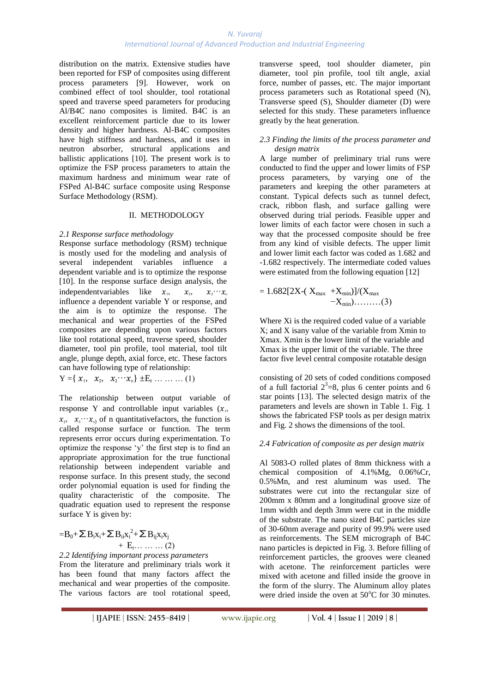# *N. Yuvaraj International Journal of Advanced Production and Industrial Engineering*

distribution on the matrix. Extensive studies have been reported for FSP of composites using different process parameters [9]. However, work on combined effect of tool shoulder, tool rotational speed and traverse speed parameters for producing Al/B4C nano composites is limited. B4C is an excellent reinforcement particle due to its lower density and higher hardness. Al-B4C composites have high stiffness and hardness, and it uses in neutron absorber, structural applications and ballistic applications [10]. The present work is to optimize the FSP process parameters to attain the maximum hardness and minimum wear rate of FSPed Al-B4C surface composite using Response Surface Methodology (RSM).

# II. METHODOLOGY

### *2.1 Response surface methodology*

Response surface methodology (RSM) technique is mostly used for the modeling and analysis of several independent variables influence a dependent variable and is to optimize the response [10]. In the response surface design analysis, the independent variables like  $x_1, x_2, x_3, \dots, x_n$ influence a dependent variable Y or response, and the aim is to optimize the response. The mechanical and wear properties of the FSPed composites are depending upon various factors like tool rotational speed, traverse speed, shoulder diameter, tool pin profile, tool material, tool tilt angle, plunge depth, axial force, etc. These factors can have following type of relationship:

 $Y = \{x_1, x_2, x_3 \cdots x_n\} \pm E_r \cdots \cdots \cdots (1)$ 

The relationship between output variable of response Y and controllable input variables  $(x_1, y_2)$  $x_1, x_2, \dots, x_n$  of n quantitative factors, the function is called response surface or function. The term represents error occurs during experimentation. To optimize the response 'y' the first step is to find an appropriate approximation for the true functional relationship between independent variable and response surface. In this present study, the second order polynomial equation is used for finding the quality characteristic of the composite. The quadratic equation used to represent the response surface Y is given by:

$$
=B_0+\sum B_i x_i+\sum B_{ii}x_i^2+\sum B_{ij}x_i x_j
$$
  
+ E<sub>r</sub>........(2)

*2.2 Identifying important process parameters*  From the literature and preliminary trials work it has been found that many factors affect the mechanical and wear properties of the composite. The various factors are tool rotational speed,

transverse speed, tool shoulder diameter, pin diameter, tool pin profile, tool tilt angle, axial force, number of passes, etc. The major important process parameters such as Rotational speed (N), Transverse speed (S), Shoulder diameter (D) were selected for this study. These parameters influence greatly by the heat generation.

### *2.3 Finding the limits of the process parameter and design matrix*

A large number of preliminary trial runs were conducted to find the upper and lower limits of FSP process parameters, by varying one of the parameters and keeping the other parameters at constant. Typical defects such as tunnel defect, crack, ribbon flash, and surface galling were observed during trial periods. Feasible upper and lower limits of each factor were chosen in such a way that the processed composite should be free from any kind of visible defects. The upper limit and lower limit each factor was coded as 1.682 and -1.682 respectively. The intermediate coded values were estimated from the following equation [12]

$$
= 1.682[2X-(X_{max} + X_{min})]/(X_{max} - X_{min})....(3)
$$

Where Xi is the required coded value of a variable X; and X isany value of the variable from Xmin to Xmax. Xmin is the lower limit of the variable and Xmax is the upper limit of the variable. The three factor five level central composite rotatable design

consisting of 20 sets of coded conditions composed of a full factorial  $2^3=8$ , plus 6 center points and 6 star points [13]. The selected design matrix of the parameters and levels are shown in Table 1. Fig. 1 shows the fabricated FSP tools as per design matrix and Fig. 2 shows the dimensions of the tool.

# *2.4 Fabrication of composite as per design matrix*

Al 5083-O rolled plates of 8mm thickness with a chemical composition of 4.1%Mg, 0.06%Cr, 0.5%Mn, and rest aluminum was used. The substrates were cut into the rectangular size of 200mm x 80mm and a longitudinal groove size of 1mm width and depth 3mm were cut in the middle of the substrate. The nano sized B4C particles size of 30-60nm average and purity of 99.9% were used as reinforcements. The SEM micrograph of B4C nano particles is depicted in Fig. 3. Before filling of reinforcement particles, the grooves were cleaned with acetone. The reinforcement particles were mixed with acetone and filled inside the groove in the form of the slurry. The Aluminum alloy plates were dried inside the oven at  $50^{\circ}$ C for 30 minutes.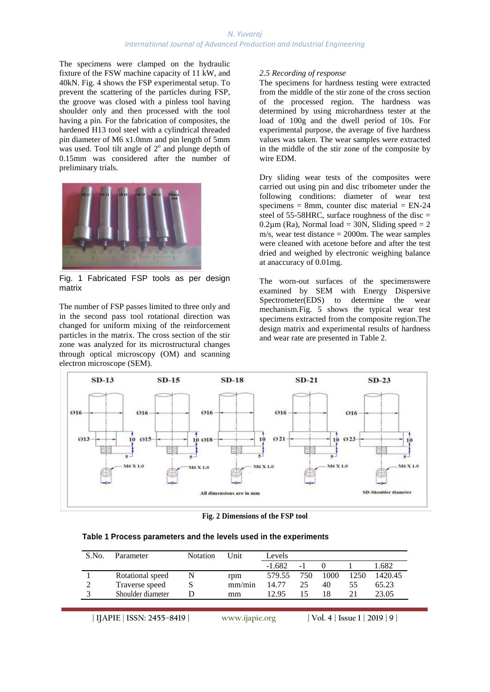# *N. Yuvaraj International Journal of Advanced Production and Industrial Engineering*

The specimens were clamped on the hydraulic fixture of the FSW machine capacity of 11 kW, and 40kN. Fig. 4 shows the FSP experimental setup. To prevent the scattering of the particles during FSP, the groove was closed with a pinless tool having shoulder only and then processed with the tool having a pin. For the fabrication of composites, the hardened H13 tool steel with a cylindrical threaded pin diameter of M6 x1.0mm and pin length of 5mm was used. Tool tilt angle of  $2^{\circ}$  and plunge depth of 0.15mm was considered after the number of preliminary trials.



Fig. 1 Fabricated FSP tools as per design matrix

The number of FSP passes limited to three only and in the second pass tool rotational direction was changed for uniform mixing of the reinforcement particles in the matrix. The cross section of the stir zone was analyzed for its microstructural changes through optical microscopy (OM) and scanning electron microscope (SEM).

# *2.5 Recording of response*

The specimens for hardness testing were extracted from the middle of the stir zone of the cross section of the processed region. The hardness was determined by using microhardness tester at the load of 100g and the dwell period of 10s. For experimental purpose, the average of five hardness values was taken. The wear samples were extracted in the middle of the stir zone of the composite by wire EDM.

Dry sliding wear tests of the composites were carried out using pin and disc tribometer under the following conditions: diameter of wear test specimens = 8mm, counter disc material =  $EN-24$ steel of  $55-58$ HRC, surface roughness of the disc =  $0.2\mu$ m (Ra), Normal load = 30N, Sliding speed = 2 m/s, wear test distance = 2000m. The wear samples were cleaned with acetone before and after the test dried and weighed by electronic weighing balance at anaccuracy of 0.01mg.

The worn-out surfaces of the specimenswere examined by SEM with Energy Dispersive Spectrometer(EDS) to determine the wear mechanism.Fig. 5 shows the typical wear test specimens extracted from the composite region.The design matrix and experimental results of hardness and wear rate are presented in Table 2.



**Fig. 2 Dimensions of the FSP tool**

| Table 1 Process parameters and the levels used in the experiments |  |  |  |  |
|-------------------------------------------------------------------|--|--|--|--|
|-------------------------------------------------------------------|--|--|--|--|

| S.No. | Parameter         | <b>Notation</b> | Unit   | Levels   |     |      |      |         |
|-------|-------------------|-----------------|--------|----------|-----|------|------|---------|
|       |                   |                 |        | $-1.682$ | - 1 |      |      | .682    |
|       | Rotational speed  |                 | rpm    | 579.55   | 750 | 1000 | 1250 | 1420.45 |
|       | Traverse speed    |                 | mm/min | 14.77    | 25  | 40   | 55   | 65.23   |
|       | Shoulder diameter |                 | mm     | 12.95    |     | 18   |      | 23.05   |

**| IJAPIE** | **ISSN: 2455–8419 | www.ijapie.org | Vol. 4 | Issue 1 | 2019 | 9 |**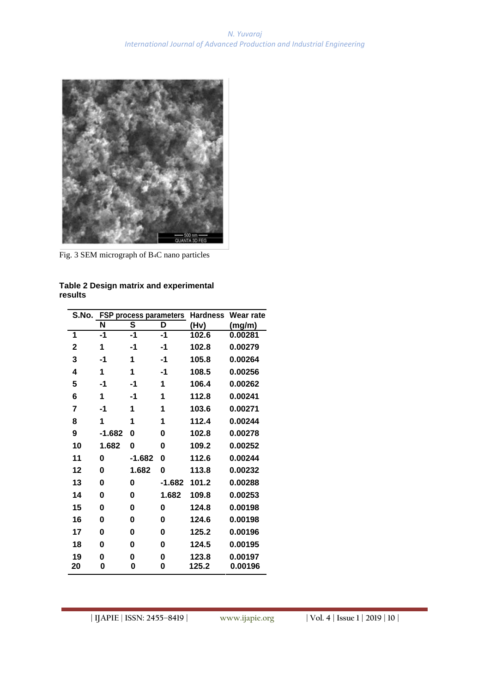

Fig. 3 SEM micrograph of B4C nano particles

| S.No. | <b>FSP process parameters</b> |        |          | <b>Hardness</b><br>Wear rate |         |  |
|-------|-------------------------------|--------|----------|------------------------------|---------|--|
|       | S<br>N<br>D                   |        | (Hv)     | (mg/m)                       |         |  |
| 1     | $-1$                          | -1     | $-1$     | 102.6                        | 0.00281 |  |
| 2     | 1                             | -1     | -1       | 102.8                        | 0.00279 |  |
| 3     | -1                            | 1      | -1       | 105.8                        | 0.00264 |  |
| 4     | 1                             | 1      | -1       | 108.5                        | 0.00256 |  |
| 5     | $-1$                          | -1     | 1        | 106.4                        | 0.00262 |  |
| 6     | 1                             | -1     | 1        | 112.8                        | 0.00241 |  |
| 7     | -1                            | 1      | 1        | 103.6                        | 0.00271 |  |
| 8     | 1                             | 1      | 1        | 112.4                        | 0.00244 |  |
| 9     | $-1.682$                      | 0      | 0        | 102.8                        | 0.00278 |  |
| 10    | 1.682                         | 0      | 0        | 109.2                        | 0.00252 |  |
| 11    | 0                             | -1.682 | 0        | 112.6                        | 0.00244 |  |
| 12    | 0                             | 1.682  | 0        | 113.8                        | 0.00232 |  |
| 13    | 0                             | 0      | $-1.682$ | 101.2                        | 0.00288 |  |
| 14    | 0                             | 0      | 1.682    | 109.8                        | 0.00253 |  |
| 15    | 0                             | 0      | 0        | 124.8                        | 0.00198 |  |
| 16    | 0                             | 0      | 0        | 124.6                        | 0.00198 |  |
| 17    | 0                             | 0      | 0        | 125.2                        | 0.00196 |  |
| 18    | 0                             | 0      | 0        | 124.5                        | 0.00195 |  |
| 19    | 0                             | 0      | 0        | 123.8                        | 0.00197 |  |
| 20    | 0                             | 0      | 0        | 125.2                        | 0.00196 |  |

**Table 2 Design matrix and experimental results**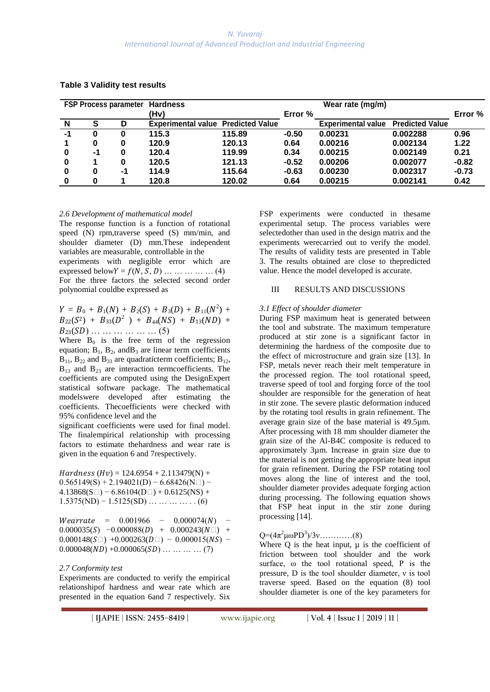| <b>FSP Process parameter Hardness</b> |          |    |                                           |        |         |                           |                        |         |
|---------------------------------------|----------|----|-------------------------------------------|--------|---------|---------------------------|------------------------|---------|
|                                       |          |    | (Hv)                                      |        | Error % |                           |                        | Error % |
| N                                     | S        | D  | <b>Experimental value Predicted Value</b> |        |         | <b>Experimental value</b> | <b>Predicted Value</b> |         |
| -1                                    |          | 0  | 115.3                                     | 115.89 | $-0.50$ | 0.00231                   | 0.002288               | 0.96    |
|                                       | 0        | 0  | 120.9                                     | 120.13 | 0.64    | 0.00216                   | 0.002134               | 1.22    |
| 0                                     | -1       | Ω  | 120.4                                     | 119.99 | 0.34    | 0.00215                   | 0.002149               | 0.21    |
| 0                                     |          | 0  | 120.5                                     | 121.13 | $-0.52$ | 0.00206                   | 0.002077               | $-0.82$ |
| 0                                     | $\bf{0}$ | -1 | 114.9                                     | 115.64 | $-0.63$ | 0.00230                   | 0.002317               | $-0.73$ |
| 0                                     | 0        |    | 120.8                                     | 120.02 | 0.64    | 0.00215                   | 0.002141               | 0.42    |

### **Table 3 Validity test results**

#### *2.6 Development of mathematical model*

The response function is a function of rotational speed (N) rpm,traverse speed (S) mm/min, and shoulder diameter (D) mm.These independent variables are measurable, controllable in the experiments with negligible error which are expressed below  $Y = f(N, S, D)$  … … … … (4)

For the three factors the selected second order polynomial couldbe expressed as

 $Y = B_0 + B_1(N) + B_2(S) + B_3(D) + B_{11}(N^2) +$  $B_{22}(S^2) + B_{33}(D^2) + B_{44}(NS) + B_{13}(ND) +$  $B_{23}(SD)$  … … … … … … (5)

Where  $B_0$  is the free term of the regression equation;  $B_1$ ,  $B_2$ , and  $B_3$  are linear term coefficients  $B_{11}$ ,  $B_{22}$  and  $B_{33}$  are quadraticterm coefficients;  $B_{12}$ ,  $B_{13}$  and  $B_{23}$  are interaction termcoefficients. The coefficients are computed using the DesignExpert statistical software package. The mathematical modelswere developed after estimating the coefficients. Thecoefficients were checked with 95% confidence level and the

significant coefficients were used for final model. The finalempirical relationship with processing factors to estimate thehardness and wear rate is given in the equation 6 and 7respectively.

 $Hardness (Hv) = 124.6954 + 2.113479(N) +$  $0.565149(S) + 2.194021(D) - 6.68426(N)$  $4.13868(S \Box) - 6.86104(D \Box) + 0.6125(NS) +$  $1.5375(ND) - 1.5125(SD)$  … … … … . . . (6)

 $Wearrate = 0.001966 - 0.000074(N) 0.000035(S) -0.000088(D) + 0.000243(N \Box) +$  $0.000148(S \Box) + 0.000263(D \Box) - 0.000015(NS) 0.000048(ND) + 0.000065(SD) \dots \dots \dots \dots (7)$ 

#### *2.7 Conformity test*

Experiments are conducted to verify the empirical relationshipof hardness and wear rate which are presented in the equation 6and 7 respectively. Six FSP experiments were conducted in thesame experimental setup. The process variables were selectedother than used in the design matrix and the experiments werecarried out to verify the model. The results of validity tests are presented in Table 3. The results obtained are close to thepredicted value. Hence the model developed is accurate.

### III RESULTS AND DISCUSSIONS

### *3.1 Effect of shoulder diameter*

During FSP maximum heat is generated between the tool and substrate. The maximum temperature produced at stir zone is a significant factor in determining the hardness of the composite due to the effect of microstructure and grain size [13]. In FSP, metals never reach their melt temperature in the processed region. The tool rotational speed, traverse speed of tool and forging force of the tool shoulder are responsible for the generation of heat in stir zone. The severe plastic deformation induced by the rotating tool results in grain refinement. The average grain size of the base material is 49.5µm. After processing with 18 mm shoulder diameter the grain size of the Al-B4C composite is reduced to approximately 3µm. Increase in grain size due to the material is not getting the appropriate heat input for grain refinement. During the FSP rotating tool moves along the line of interest and the tool, shoulder diameter provides adequate forging action during processing. The following equation shows that FSP heat input in the stir zone during processing [14].

# $Q = (4\pi^2 \mu \omega PD^3)/3v$ ……………(8)

Where  $Q$  is the heat input,  $\mu$  is the coefficient of friction between tool shoulder and the work surface, ω the tool rotational speed, P is the pressure, D is the tool shoulder diameter, ν is tool traverse speed. Based on the equation (8) tool shoulder diameter is one of the key parameters for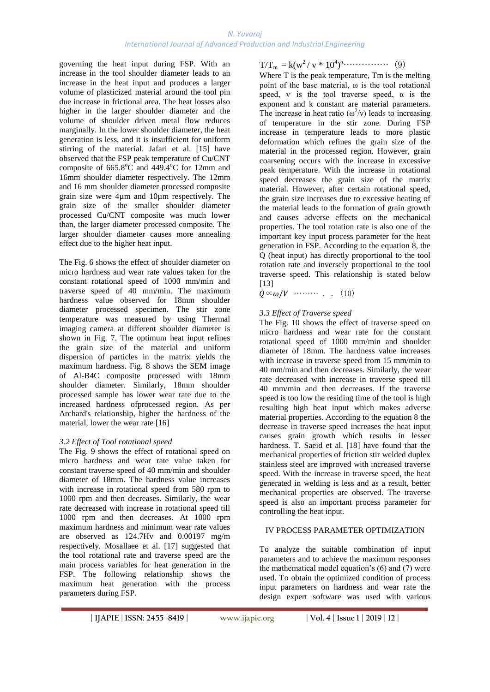governing the heat input during FSP. With an increase in the tool shoulder diameter leads to an increase in the heat input and produces a larger volume of plasticized material around the tool pin due increase in frictional area. The heat losses also higher in the larger shoulder diameter and the volume of shoulder driven metal flow reduces marginally. In the lower shoulder diameter, the heat generation is less, and it is insufficient for uniform stirring of the material. Jafari et al. [15] have observed that the FSP peak temperature of Cu/CNT composite of  $665.8^{\circ}$ C and  $449.4^{\circ}$ C for 12mm and 16mm shoulder diameter respectively. The 12mm and 16 mm shoulder diameter processed composite grain size were 4µm and 10µm respectively. The grain size of the smaller shoulder diameter processed Cu/CNT composite was much lower than, the larger diameter processed composite. The larger shoulder diameter causes more annealing effect due to the higher heat input.

The Fig. 6 shows the effect of shoulder diameter on micro hardness and wear rate values taken for the constant rotational speed of 1000 mm/min and traverse speed of 40 mm/min. The maximum hardness value observed for 18mm shoulder diameter processed specimen. The stir zone temperature was measured by using Thermal imaging camera at different shoulder diameter is shown in Fig. 7. The optimum heat input refines the grain size of the material and uniform dispersion of particles in the matrix yields the maximum hardness. Fig. 8 shows the SEM image of Al-B4C composite processed with 18mm shoulder diameter. Similarly, 18mm shoulder processed sample has lower wear rate due to the increased hardness ofprocessed region. As per Archard's relationship, higher the hardness of the material, lower the wear rate [16]

# *3.2 Effect of Tool rotational speed*

The Fig. 9 shows the effect of rotational speed on micro hardness and wear rate value taken for constant traverse speed of 40 mm/min and shoulder diameter of 18mm. The hardness value increases with increase in rotational speed from 580 rpm to 1000 rpm and then decreases. Similarly, the wear rate decreased with increase in rotational speed till 1000 rpm and then decreases. At 1000 rpm maximum hardness and minimum wear rate values are observed as 124.7Hv and 0.00197 mg/m respectively. Mosallaee et al. [17] suggested that the tool rotational rate and traverse speed are the main process variables for heat generation in the FSP. The following relationship shows the maximum heat generation with the process parameters during FSP.

T/Tm = k(w<sup>2</sup>/ v \* 10<sup>4</sup> ) <sup>α</sup>…………… (9)

Where T is the peak temperature, Tm is the melting point of the base material, ω is the tool rotational speed, v is the tool traverse speed,  $\alpha$  is the exponent and k constant are material parameters. The increase in heat ratio ( $\omega^2$ /v) leads to increasing of temperature in the stir zone. During FSP increase in temperature leads to more plastic deformation which refines the grain size of the material in the processed region. However, grain coarsening occurs with the increase in excessive peak temperature. With the increase in rotational speed decreases the grain size of the matrix material. However, after certain rotational speed, the grain size increases due to excessive heating of the material leads to the formation of grain growth and causes adverse effects on the mechanical properties. The tool rotation rate is also one of the important key input process parameter for the heat generation in FSP. According to the equation 8, the Q (heat input) has directly proportional to the tool rotation rate and inversely proportional to the tool traverse speed. This relationship is stated below [13]

 $Q \propto \omega/V$  ……… . . . . (10)

# *3.3 Effect of Traverse speed*

The Fig. 10 shows the effect of traverse speed on micro hardness and wear rate for the constant rotational speed of 1000 mm/min and shoulder diameter of 18mm. The hardness value increases with increase in traverse speed from 15 mm/min to 40 mm/min and then decreases. Similarly, the wear rate decreased with increase in traverse speed till 40 mm/min and then decreases. If the traverse speed is too low the residing time of the tool is high resulting high heat input which makes adverse material properties. According to the equation 8 the decrease in traverse speed increases the heat input causes grain growth which results in lesser hardness. T. Saeid et al. [18] have found that the mechanical properties of friction stir welded duplex stainless steel are improved with increased traverse speed. With the increase in traverse speed, the heat generated in welding is less and as a result, better mechanical properties are observed. The traverse speed is also an important process parameter for controlling the heat input.

# IV PROCESS PARAMETER OPTIMIZATION

To analyze the suitable combination of input parameters and to achieve the maximum responses the mathematical model equation's (6) and (7) were used. To obtain the optimized condition of process input parameters on hardness and wear rate the design expert software was used with various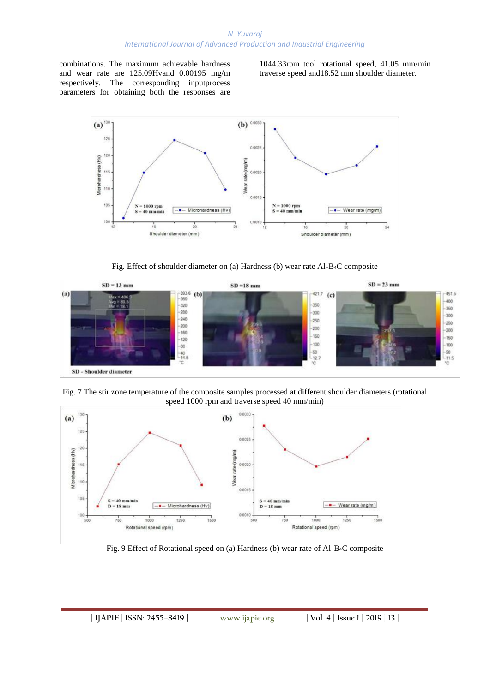combinations. The maximum achievable hardness and wear rate are 125.09Hvand 0.00195 mg/m respectively. The corresponding inputprocess parameters for obtaining both the responses are

1044.33rpm tool rotational speed, 41.05 mm/min traverse speed and18.52 mm shoulder diameter.



Fig. Effect of shoulder diameter on (a) Hardness (b) wear rate Al-B4C composite



Fig. 7 The stir zone temperature of the composite samples processed at different shoulder diameters (rotational speed 1000 rpm and traverse speed 40 mm/min)



Fig. 9 Effect of Rotational speed on (a) Hardness (b) wear rate of Al-B4C composite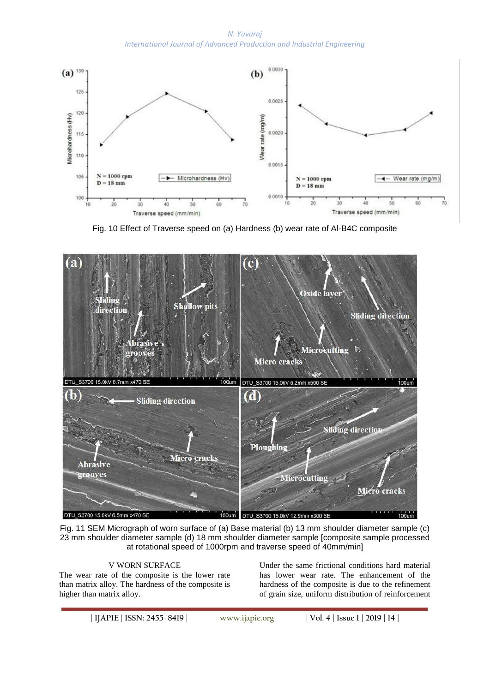*N. Yuvaraj International Journal of Advanced Production and Industrial Engineering*



Fig. 10 Effect of Traverse speed on (a) Hardness (b) wear rate of Al-B4C composite



Fig. 11 SEM Micrograph of worn surface of (a) Base material (b) 13 mm shoulder diameter sample (c) 23 mm shoulder diameter sample (d) 18 mm shoulder diameter sample [composite sample processed at rotational speed of 1000rpm and traverse speed of 40mm/min]

# V WORN SURFACE

The wear rate of the composite is the lower rate than matrix alloy. The hardness of the composite is higher than matrix alloy.

Under the same frictional conditions hard material has lower wear rate. The enhancement of the hardness of the composite is due to the refinement of grain size, uniform distribution of reinforcement